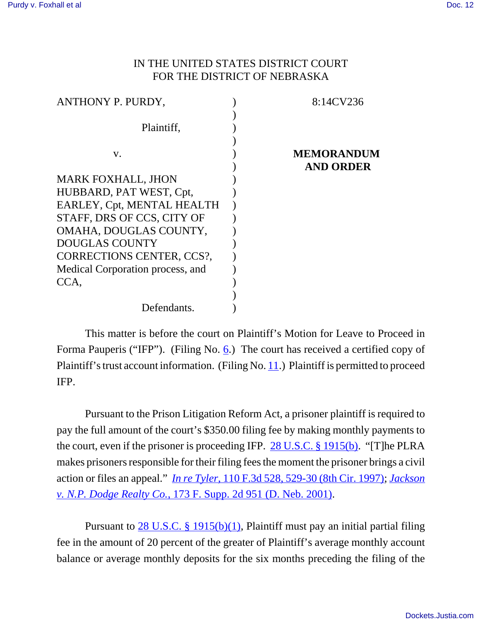## IN THE UNITED STATES DISTRICT COURT FOR THE DISTRICT OF NEBRASKA

| ANTHONY P. PURDY,                | 8:14CV236         |
|----------------------------------|-------------------|
|                                  |                   |
| Plaintiff,                       |                   |
|                                  |                   |
| V.                               | <b>MEMORANDUM</b> |
|                                  | <b>AND ORDER</b>  |
| <b>MARK FOXHALL, JHON</b>        |                   |
| HUBBARD, PAT WEST, Cpt,          |                   |
| EARLEY, Cpt, MENTAL HEALTH       |                   |
| STAFF, DRS OF CCS, CITY OF       |                   |
| OMAHA, DOUGLAS COUNTY,           |                   |
| <b>DOUGLAS COUNTY</b>            |                   |
| <b>CORRECTIONS CENTER, CCS?,</b> |                   |
| Medical Corporation process, and |                   |
| CCA,                             |                   |
|                                  |                   |
| Defendants.                      |                   |

This matter is before the court on Plaintiff's Motion for Leave to Proceed in Forma Pauperis ("IFP"). (Filing No.  $6$ .) The court has received a certified copy of Plaintiff's trust account information. (Filing No. 11.) Plaintiff is permitted to proceed IFP.

Pursuant to the Prison Litigation Reform Act, a prisoner plaintiff is required to pay the full amount of the court's \$350.00 filing fee by making monthly payments to the court, even if the prisoner is proceeding IFP. 28 U.S.C. § 1915(b). "[T]he PLRA makes prisoners responsible for their filing fees the moment the prisoner brings a civil action or files an appeal." *In re Tyler*, 110 F.3d 528, 529-30 (8th Cir. 1997); *Jackson v. N.P. Dodge Realty Co.*, 173 F. Supp. 2d 951 (D. Neb. 2001).

Pursuant to 28 U.S.C. § 1915(b)(1), Plaintiff must pay an initial partial filing fee in the amount of 20 percent of the greater of Plaintiff's average monthly account balance or average monthly deposits for the six months preceding the filing of the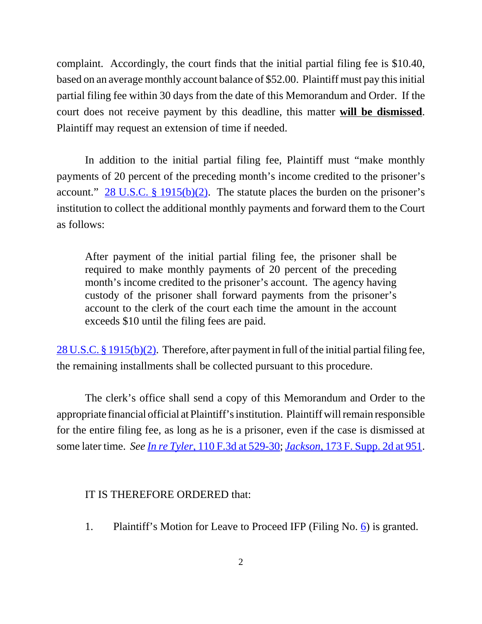complaint. Accordingly, the court finds that the initial partial filing fee is \$10.40, based on an average monthly account balance of \$52.00. Plaintiff must pay this initial partial filing fee within 30 days from the date of this Memorandum and Order. If the court does not receive payment by this deadline, this matter **will be dismissed**. Plaintiff may request an extension of time if needed.

In addition to the initial partial filing fee, Plaintiff must "make monthly payments of 20 percent of the preceding month's income credited to the prisoner's account."  $28 \text{ U.S.C.}$  § 1915(b)(2). The statute places the burden on the prisoner's institution to collect the additional monthly payments and forward them to the Court as follows:

After payment of the initial partial filing fee, the prisoner shall be required to make monthly payments of 20 percent of the preceding month's income credited to the prisoner's account. The agency having custody of the prisoner shall forward payments from the prisoner's account to the clerk of the court each time the amount in the account exceeds \$10 until the filing fees are paid.

28 U.S.C. § 1915(b)(2). Therefore, after payment in full of the initial partial filing fee, the remaining installments shall be collected pursuant to this procedure.

The clerk's office shall send a copy of this Memorandum and Order to the appropriate financial official at Plaintiff's institution. Plaintiff will remain responsible for the entire filing fee, as long as he is a prisoner, even if the case is dismissed at some later time. *See In re Tyler*, 110 F.3d at 529-30; *Jackson*, 173 F. Supp. 2d at 951.

## IT IS THEREFORE ORDERED that:

1. Plaintiff's Motion for Leave to Proceed IFP (Filing No. 6) is granted.